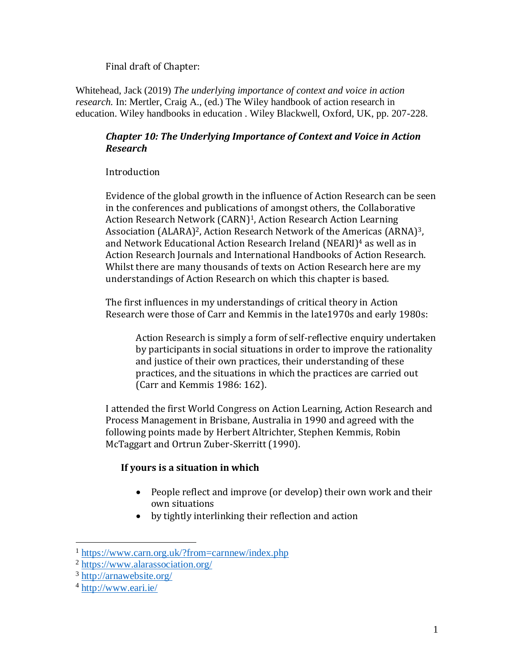Final draft of Chapter:

Whitehead, Jack (2019) *The underlying importance of context and voice in action research.* In: Mertler, Craig A., (ed.) The Wiley handbook of action research in education. Wiley handbooks in education . Wiley Blackwell, Oxford, UK, pp. 207-228.

## *Chapter 10: The Underlying Importance of Context and Voice in Action Research*

## Introduction

Evidence of the global growth in the influence of Action Research can be seen in the conferences and publications of amongst others, the Collaborative Action Research Network (CARN)<sup>1</sup>, Action Research Action Learning Association (ALARA)<sup>2</sup>, Action Research Network of the Americas (ARNA)<sup>3</sup>, and Network Educational Action Research Ireland (NEARI)<sup>4</sup> as well as in Action Research Journals and International Handbooks of Action Research. Whilst there are many thousands of texts on Action Research here are my understandings of Action Research on which this chapter is based.

The first influences in my understandings of critical theory in Action Research were those of Carr and Kemmis in the late1970s and early 1980s:

Action Research is simply a form of self-reflective enquiry undertaken by participants in social situations in order to improve the rationality and justice of their own practices, their understanding of these practices, and the situations in which the practices are carried out (Carr and Kemmis 1986: 162).

I attended the first World Congress on Action Learning, Action Research and Process Management in Brisbane, Australia in 1990 and agreed with the following points made by Herbert Altrichter, Stephen Kemmis, Robin McTaggart and Ortrun Zuber-Skerritt (1990).

# **If yours is a situation in which**

- People reflect and improve (or develop) their own work and their own situations
- by tightly interlinking their reflection and action

 $\overline{a}$ 

<sup>&</sup>lt;sup>1</sup> <https://www.carn.org.uk/?from=carnnew/index.php>

<sup>2</sup> <https://www.alarassociation.org/>

<sup>3</sup> <http://arnawebsite.org/>

<sup>4</sup> <http://www.eari.ie/>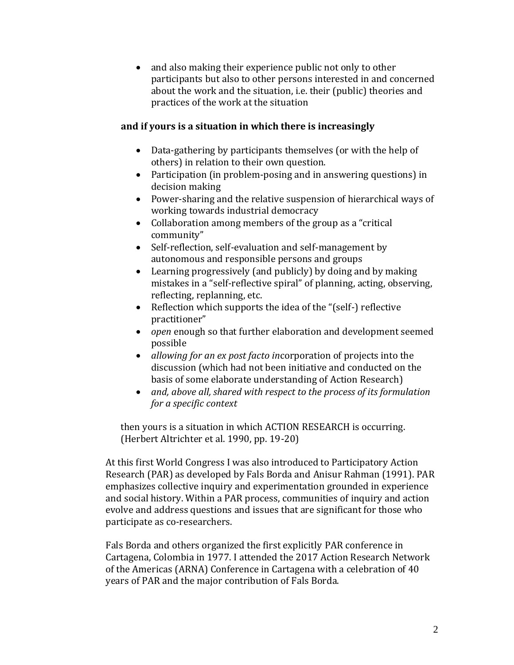and also making their experience public not only to other participants but also to other persons interested in and concerned about the work and the situation, i.e. their (public) theories and practices of the work at the situation

## **and if yours is a situation in which there is increasingly**

- Data-gathering by participants themselves (or with the help of others) in relation to their own question.
- Participation (in problem-posing and in answering questions) in decision making
- Power-sharing and the relative suspension of hierarchical ways of working towards industrial democracy
- Collaboration among members of the group as a "critical community"
- Self-reflection, self-evaluation and self-management by autonomous and responsible persons and groups
- Learning progressively (and publicly) by doing and by making mistakes in a "self-reflective spiral" of planning, acting, observing, reflecting, replanning, etc.
- Reflection which supports the idea of the "(self-) reflective practitioner"
- *open* enough so that further elaboration and development seemed possible
- *allowing for an ex post facto in*corporation of projects into the discussion (which had not been initiative and conducted on the basis of some elaborate understanding of Action Research)
- *and, above all, shared with respect to the process of its formulation for a specific context*

then yours is a situation in which ACTION RESEARCH is occurring. (Herbert Altrichter et al. 1990, pp. 19-20)

At this first World Congress I was also introduced to Participatory Action Research (PAR) as developed by Fals Borda and Anisur Rahman (1991). PAR emphasizes collective inquiry and experimentation grounded in experience and social history. Within a PAR process, communities of inquiry and action evolve and address questions and issues that are significant for those who participate as co-researchers.

Fals Borda and others organized the first explicitly PAR conference in Cartagena, Colombia in 1977. I attended the 2017 Action Research Network of the Americas (ARNA) Conference in Cartagena with a celebration of 40 years of PAR and the major contribution of Fals Borda.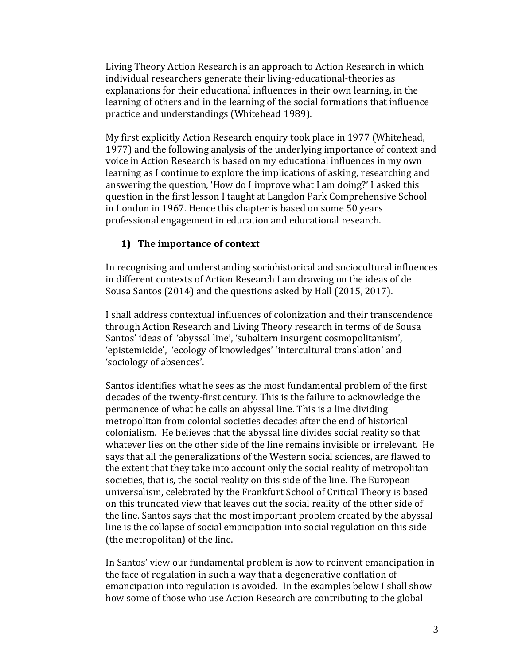Living Theory Action Research is an approach to Action Research in which individual researchers generate their living-educational-theories as explanations for their educational influences in their own learning, in the learning of others and in the learning of the social formations that influence practice and understandings (Whitehead 1989).

My first explicitly Action Research enquiry took place in 1977 (Whitehead, 1977) and the following analysis of the underlying importance of context and voice in Action Research is based on my educational influences in my own learning as I continue to explore the implications of asking, researching and answering the question, 'How do I improve what I am doing?' I asked this question in the first lesson I taught at Langdon Park Comprehensive School in London in 1967. Hence this chapter is based on some 50 years professional engagement in education and educational research.

### **1) The importance of context**

In recognising and understanding sociohistorical and sociocultural influences in different contexts of Action Research I am drawing on the ideas of de Sousa Santos (2014) and the questions asked by Hall (2015, 2017).

I shall address contextual influences of colonization and their transcendence through Action Research and Living Theory research in terms of de Sousa Santos' ideas of 'abyssal line', 'subaltern insurgent cosmopolitanism', 'epistemicide', 'ecology of knowledges' 'intercultural translation' and 'sociology of absences'.

Santos identifies what he sees as the most fundamental problem of the first decades of the twenty-first century. This is the failure to acknowledge the permanence of what he calls an abyssal line. This is a line dividing metropolitan from colonial societies decades after the end of historical colonialism. He believes that the abyssal line divides social reality so that whatever lies on the other side of the line remains invisible or irrelevant. He says that all the generalizations of the Western social sciences, are flawed to the extent that they take into account only the social reality of metropolitan societies, that is, the social reality on this side of the line. The European universalism, celebrated by the Frankfurt School of Critical Theory is based on this truncated view that leaves out the social reality of the other side of the line. Santos says that the most important problem created by the abyssal line is the collapse of social emancipation into social regulation on this side (the metropolitan) of the line.

In Santos' view our fundamental problem is how to reinvent emancipation in the face of regulation in such a way that a degenerative conflation of emancipation into regulation is avoided. In the examples below I shall show how some of those who use Action Research are contributing to the global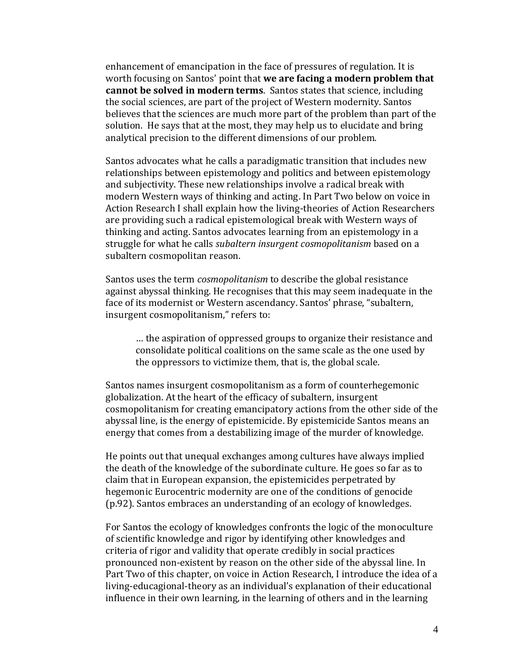enhancement of emancipation in the face of pressures of regulation. It is worth focusing on Santos' point that **we are facing a modern problem that cannot be solved in modern terms**. Santos states that science, including the social sciences, are part of the project of Western modernity. Santos believes that the sciences are much more part of the problem than part of the solution. He says that at the most, they may help us to elucidate and bring analytical precision to the different dimensions of our problem.

Santos advocates what he calls a paradigmatic transition that includes new relationships between epistemology and politics and between epistemology and subjectivity. These new relationships involve a radical break with modern Western ways of thinking and acting. In Part Two below on voice in Action Research I shall explain how the living-theories of Action Researchers are providing such a radical epistemological break with Western ways of thinking and acting. Santos advocates learning from an epistemology in a struggle for what he calls *subaltern insurgent cosmopolitanism* based on a subaltern cosmopolitan reason.

Santos uses the term *cosmopolitanism* to describe the global resistance against abyssal thinking. He recognises that this may seem inadequate in the face of its modernist or Western ascendancy. Santos' phrase, "subaltern, insurgent cosmopolitanism," refers to:

… the aspiration of oppressed groups to organize their resistance and consolidate political coalitions on the same scale as the one used by the oppressors to victimize them, that is, the global scale.

Santos names insurgent cosmopolitanism as a form of counterhegemonic globalization. At the heart of the efficacy of subaltern, insurgent cosmopolitanism for creating emancipatory actions from the other side of the abyssal line, is the energy of epistemicide. By epistemicide Santos means an energy that comes from a destabilizing image of the murder of knowledge.

He points out that unequal exchanges among cultures have always implied the death of the knowledge of the subordinate culture. He goes so far as to claim that in European expansion, the epistemicides perpetrated by hegemonic Eurocentric modernity are one of the conditions of genocide (p.92). Santos embraces an understanding of an ecology of knowledges.

For Santos the ecology of knowledges confronts the logic of the monoculture of scientific knowledge and rigor by identifying other knowledges and criteria of rigor and validity that operate credibly in social practices pronounced non-existent by reason on the other side of the abyssal line. In Part Two of this chapter, on voice in Action Research, I introduce the idea of a living-educagional-theory as an individual's explanation of their educational influence in their own learning, in the learning of others and in the learning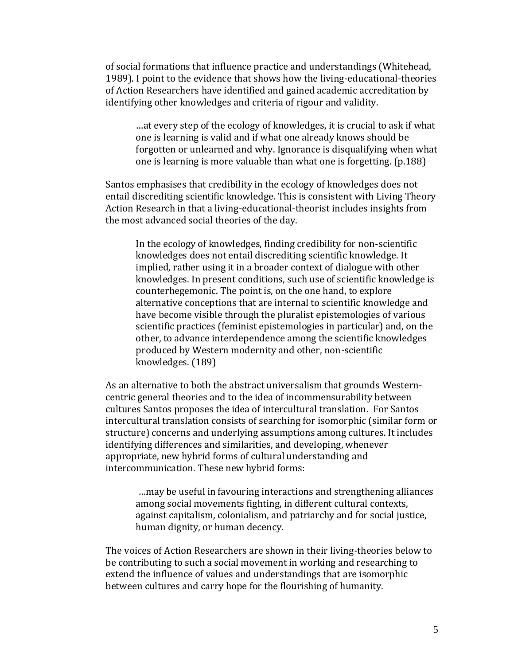of social formations that influence practice and understandings (Whitehead, 1989). I point to the evidence that shows how the living-educational-theories of Action Researchers have identified and gained academic accreditation by identifying other knowledges and criteria of rigour and validity.

…at every step of the ecology of knowledges, it is crucial to ask if what one is learning is valid and if what one already knows should be forgotten or unlearned and why. Ignorance is disqualifying when what one is learning is more valuable than what one is forgetting. (p.188)

Santos emphasises that credibility in the ecology of knowledges does not entail discrediting scientific knowledge. This is consistent with Living Theory Action Research in that a living-educational-theorist includes insights from the most advanced social theories of the day.

In the ecology of knowledges, finding credibility for non-scientific knowledges does not entail discrediting scientific knowledge. It implied, rather using it in a broader context of dialogue with other knowledges. In present conditions, such use of scientific knowledge is counterhegemonic. The point is, on the one hand, to explore alternative conceptions that are internal to scientific knowledge and have become visible through the pluralist epistemologies of various scientific practices (feminist epistemologies in particular) and, on the other, to advance interdependence among the scientific knowledges produced by Western modernity and other, non-scientific knowledges. (189)

As an alternative to both the abstract universalism that grounds Westerncentric general theories and to the idea of incommensurability between cultures Santos proposes the idea of intercultural translation. For Santos intercultural translation consists of searching for isomorphic (similar form or structure) concerns and underlying assumptions among cultures. It includes identifying differences and similarities, and developing, whenever appropriate, new hybrid forms of cultural understanding and intercommunication. These new hybrid forms:

…may be useful in favouring interactions and strengthening alliances among social movements fighting, in different cultural contexts, against capitalism, colonialism, and patriarchy and for social justice, human dignity, or human decency.

The voices of Action Researchers are shown in their living-theories below to be contributing to such a social movement in working and researching to extend the influence of values and understandings that are isomorphic between cultures and carry hope for the flourishing of humanity.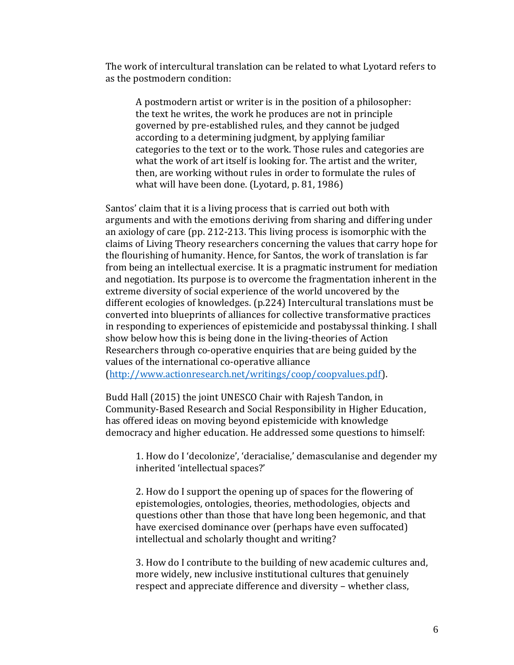The work of intercultural translation can be related to what Lyotard refers to as the postmodern condition:

A postmodern artist or writer is in the position of a philosopher: the text he writes, the work he produces are not in principle governed by pre-established rules, and they cannot be judged according to a determining judgment, by applying familiar categories to the text or to the work. Those rules and categories are what the work of art itself is looking for. The artist and the writer, then, are working without rules in order to formulate the rules of what will have been done. (Lyotard, p. 81, 1986)

Santos' claim that it is a living process that is carried out both with arguments and with the emotions deriving from sharing and differing under an axiology of care (pp. 212-213. This living process is isomorphic with the claims of Living Theory researchers concerning the values that carry hope for the flourishing of humanity. Hence, for Santos, the work of translation is far from being an intellectual exercise. It is a pragmatic instrument for mediation and negotiation. Its purpose is to overcome the fragmentation inherent in the extreme diversity of social experience of the world uncovered by the different ecologies of knowledges. (p.224) Intercultural translations must be converted into blueprints of alliances for collective transformative practices in responding to experiences of epistemicide and postabyssal thinking. I shall show below how this is being done in the living-theories of Action Researchers through co-operative enquiries that are being guided by the values of the international co-operative alliance [\(http://www.actionresearch.net/writings/coop/coopvalues.pdf\)](http://www.actionresearch.net/writings/coop/coopvalues.pdf).

Budd Hall (2015) the joint UNESCO Chair with Rajesh Tandon, in Community-Based Research and Social Responsibility in Higher Education, has offered ideas on moving beyond epistemicide with knowledge democracy and higher education. He addressed some questions to himself:

1. How do I 'decolonize', 'deracialise,' demasculanise and degender my inherited 'intellectual spaces?'

2. How do I support the opening up of spaces for the flowering of epistemologies, ontologies, theories, methodologies, objects and questions other than those that have long been hegemonic, and that have exercised dominance over (perhaps have even suffocated) intellectual and scholarly thought and writing?

3. How do I contribute to the building of new academic cultures and, more widely, new inclusive institutional cultures that genuinely respect and appreciate difference and diversity – whether class,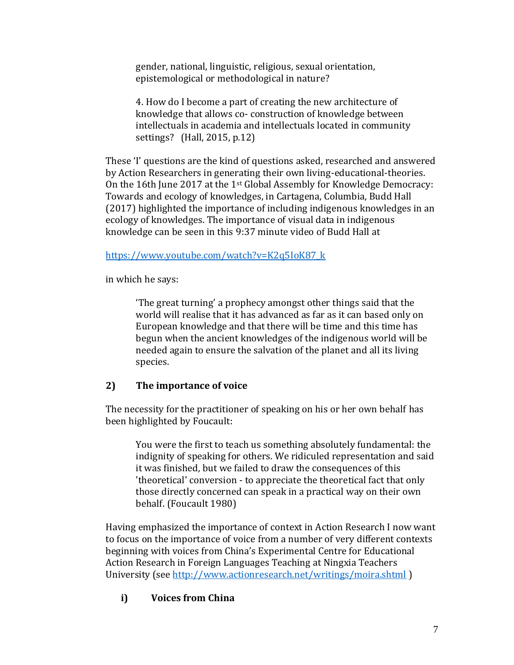gender, national, linguistic, religious, sexual orientation, epistemological or methodological in nature?

4. How do I become a part of creating the new architecture of knowledge that allows co- construction of knowledge between intellectuals in academia and intellectuals located in community settings? (Hall, 2015, p.12)

These 'I' questions are the kind of questions asked, researched and answered by Action Researchers in generating their own living-educational-theories. On the 16th June 2017 at the 1st Global Assembly for Knowledge Democracy: Towards and ecology of knowledges, in Cartagena, Columbia, Budd Hall (2017) highlighted the importance of including indigenous knowledges in an ecology of knowledges. The importance of visual data in indigenous knowledge can be seen in this 9:37 minute video of Budd Hall at

[https://www.youtube.com/watch?v=K2q5IoK87\\_k](https://www.youtube.com/watch?v=K2q5IoK87_k)

in which he says:

'The great turning' a prophecy amongst other things said that the world will realise that it has advanced as far as it can based only on European knowledge and that there will be time and this time has begun when the ancient knowledges of the indigenous world will be needed again to ensure the salvation of the planet and all its living species.

# **2) The importance of voice**

The necessity for the practitioner of speaking on his or her own behalf has been highlighted by Foucault:

You were the first to teach us something absolutely fundamental: the indignity of speaking for others. We ridiculed representation and said it was finished, but we failed to draw the consequences of this 'theoretical' conversion - to appreciate the theoretical fact that only those directly concerned can speak in a practical way on their own behalf. (Foucault 1980)

Having emphasized the importance of context in Action Research I now want to focus on the importance of voice from a number of very different contexts beginning with voices from China's Experimental Centre for Educational Action Research in Foreign Languages Teaching at Ningxia Teachers University (see<http://www.actionresearch.net/writings/moira.shtml> )

# **i) Voices from China**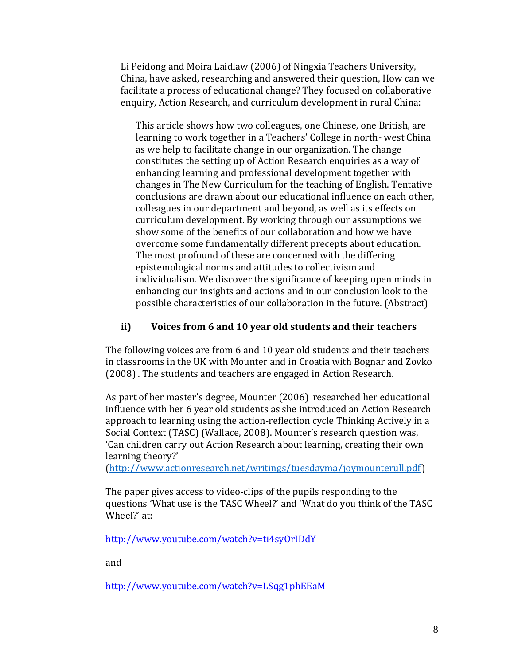Li Peidong and Moira Laidlaw (2006) of Ningxia Teachers University, China, have asked, researching and answered their question, How can we facilitate a process of educational change? They focused on collaborative enquiry, Action Research, and curriculum development in rural China:

This article shows how two colleagues, one Chinese, one British, are learning to work together in a Teachers' College in north- west China as we help to facilitate change in our organization. The change constitutes the setting up of Action Research enquiries as a way of enhancing learning and professional development together with changes in The New Curriculum for the teaching of English. Tentative conclusions are drawn about our educational influence on each other, colleagues in our department and beyond, as well as its effects on curriculum development. By working through our assumptions we show some of the benefits of our collaboration and how we have overcome some fundamentally different precepts about education. The most profound of these are concerned with the differing epistemological norms and attitudes to collectivism and individualism. We discover the significance of keeping open minds in enhancing our insights and actions and in our conclusion look to the possible characteristics of our collaboration in the future. (Abstract)

## **ii) Voices from 6 and 10 year old students and their teachers**

The following voices are from 6 and 10 year old students and their teachers in classrooms in the UK with Mounter and in Croatia with Bognar and Zovko (2008) . The students and teachers are engaged in Action Research.

As part of her master's degree, Mounter (2006) researched her educational influence with her 6 year old students as she introduced an Action Research approach to learning using the action-reflection cycle Thinking Actively in a Social Context (TASC) (Wallace, 2008). Mounter's research question was, 'Can children carry out Action Research about learning, creating their own learning theory?'

[\(http://www.actionresearch.net/writings/tuesdayma/joymounterull.pdf\)](http://www.actionresearch.net/writings/tuesdayma/joymounterull.pdf)

The paper gives access to video-clips of the pupils responding to the questions 'What use is the TASC Wheel?' and 'What do you think of the TASC Wheel?' at:

http://www.youtube.com/watch?v=ti4syOrIDdY

and

http://www.youtube.com/watch?v=LSqg1phEEaM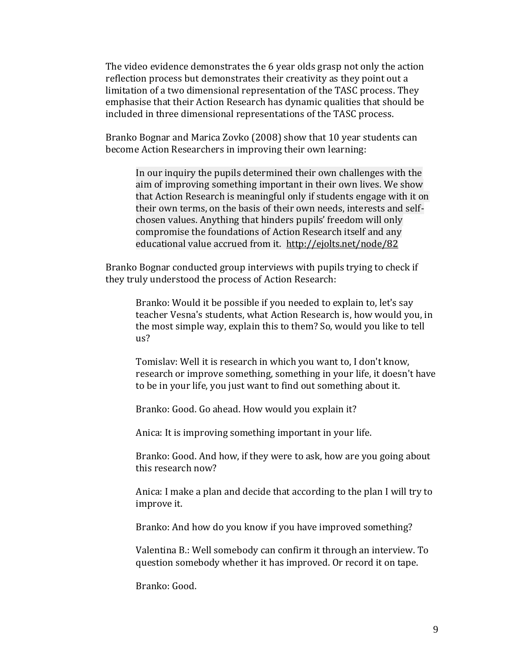The video evidence demonstrates the 6 year olds grasp not only the action reflection process but demonstrates their creativity as they point out a limitation of a two dimensional representation of the TASC process. They emphasise that their Action Research has dynamic qualities that should be included in three dimensional representations of the TASC process.

Branko Bognar and Marica Zovko (2008) show that 10 year students can become Action Researchers in improving their own learning:

In our inquiry the pupils determined their own challenges with the aim of improving something important in their own lives. We show that Action Research is meaningful only if students engage with it on their own terms, on the basis of their own needs, interests and selfchosen values. Anything that hinders pupils' freedom will only compromise the foundations of Action Research itself and any educational value accrued from it. <http://ejolts.net/node/82>

Branko Bognar conducted group interviews with pupils trying to check if they truly understood the process of Action Research:

Branko: Would it be possible if you needed to explain to, let's say teacher Vesna's students, what Action Research is, how would you, in the most simple way, explain this to them? So, would you like to tell us?

Tomislav: Well it is research in which you want to, I don't know, research or improve something, something in your life, it doesn't have to be in your life, you just want to find out something about it.

Branko: Good. Go ahead. How would you explain it?

Anica: It is improving something important in your life.

Branko: Good. And how, if they were to ask, how are you going about this research now?

Anica: I make a plan and decide that according to the plan I will try to improve it.

Branko: And how do you know if you have improved something?

Valentina B.: Well somebody can confirm it through an interview. To question somebody whether it has improved. Or record it on tape.

Branko: Good.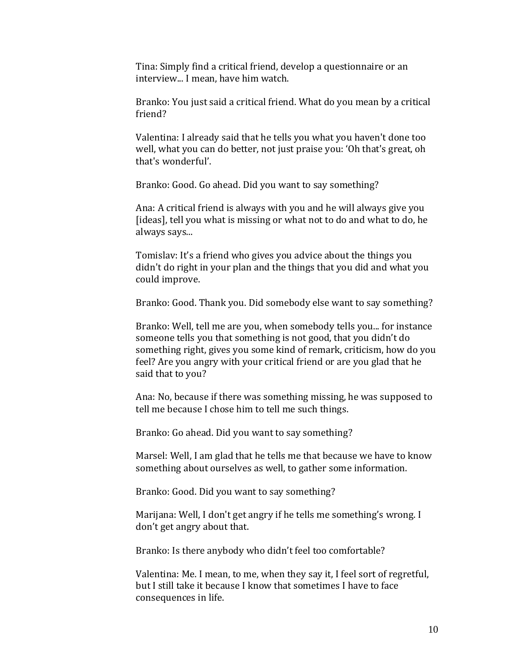Tina: Simply find a critical friend, develop a questionnaire or an interview... I mean, have him watch.

Branko: You just said a critical friend. What do you mean by a critical friend?

Valentina: I already said that he tells you what you haven't done too well, what you can do better, not just praise you: 'Oh that's great, oh that's wonderful'.

Branko: Good. Go ahead. Did you want to say something?

Ana: A critical friend is always with you and he will always give you [ideas], tell you what is missing or what not to do and what to do, he always says...

Tomislav: It's a friend who gives you advice about the things you didn't do right in your plan and the things that you did and what you could improve.

Branko: Good. Thank you. Did somebody else want to say something?

Branko: Well, tell me are you, when somebody tells you... for instance someone tells you that something is not good, that you didn't do something right, gives you some kind of remark, criticism, how do you feel? Are you angry with your critical friend or are you glad that he said that to you?

Ana: No, because if there was something missing, he was supposed to tell me because I chose him to tell me such things.

Branko: Go ahead. Did you want to say something?

Marsel: Well, I am glad that he tells me that because we have to know something about ourselves as well, to gather some information.

Branko: Good. Did you want to say something?

Marijana: Well, I don't get angry if he tells me something's wrong. I don't get angry about that.

Branko: Is there anybody who didn't feel too comfortable?

Valentina: Me. I mean, to me, when they say it, I feel sort of regretful, but I still take it because I know that sometimes I have to face consequences in life.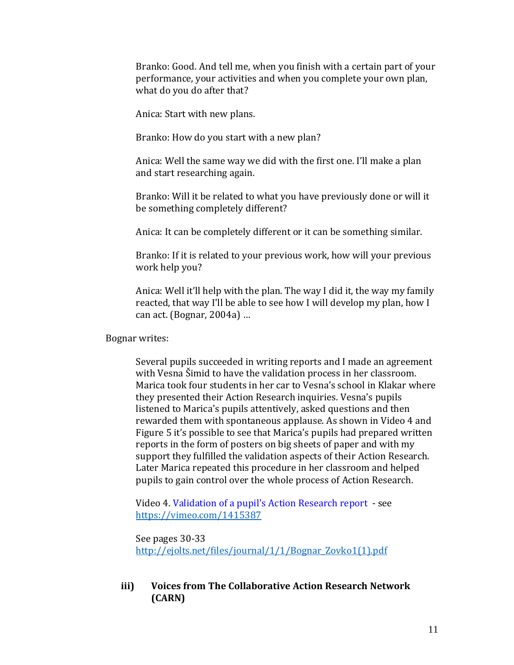Branko: Good. And tell me, when you finish with a certain part of your performance, your activities and when you complete your own plan, what do you do after that?

Anica: Start with new plans.

Branko: How do you start with a new plan?

Anica: Well the same way we did with the first one. I'll make a plan and start researching again.

Branko: Will it be related to what you have previously done or will it be something completely different?

Anica: It can be completely different or it can be something similar.

Branko: If it is related to your previous work, how will your previous work help you?

Anica: Well it'll help with the plan. The way I did it, the way my family reacted, that way I'll be able to see how I will develop my plan, how I can act. (Bognar, 2004a) …

Bognar writes:

Several pupils succeeded in writing reports and I made an agreement with Vesna Šimid to have the validation process in her classroom. Marica took four students in her car to Vesna's school in Klakar where they presented their Action Research inquiries. Vesna's pupils listened to Marica's pupils attentively, asked questions and then rewarded them with spontaneous applause. As shown in Video 4 and Figure 5 it's possible to see that Marica's pupils had prepared written reports in the form of posters on big sheets of paper and with my support they fulfilled the validation aspects of their Action Research. Later Marica repeated this procedure in her classroom and helped pupils to gain control over the whole process of Action Research.

Video 4. Validation of a pupil's Action Research report - see <https://vimeo.com/1415387>

See pages 30-33 [http://ejolts.net/files/journal/1/1/Bognar\\_Zovko1\(1\).pdf](http://ejolts.net/files/journal/1/1/Bognar_Zovko1(1).pdf)

## **iii) Voices from The Collaborative Action Research Network (CARN)**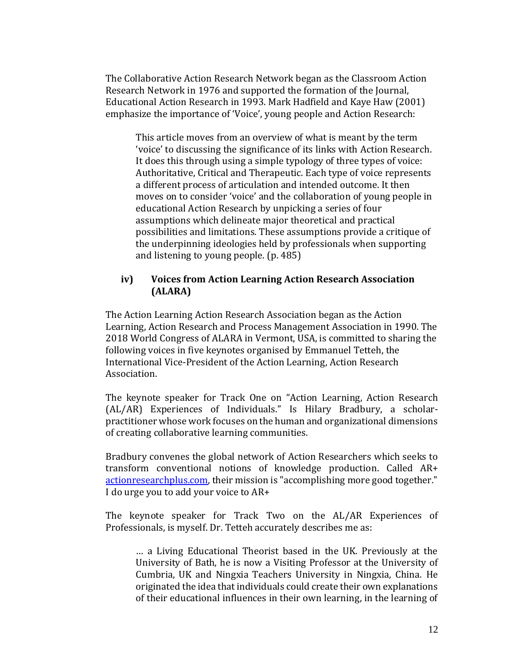The Collaborative Action Research Network began as the Classroom Action Research Network in 1976 and supported the formation of the Journal, Educational Action Research in 1993. Mark Hadfield and Kaye Haw (2001) emphasize the importance of 'Voice', young people and Action Research:

This article moves from an overview of what is meant by the term 'voice' to discussing the significance of its links with Action Research. It does this through using a simple typology of three types of voice: Authoritative, Critical and Therapeutic. Each type of voice represents a different process of articulation and intended outcome. It then moves on to consider 'voice' and the collaboration of young people in educational Action Research by unpicking a series of four assumptions which delineate major theoretical and practical possibilities and limitations. These assumptions provide a critique of the underpinning ideologies held by professionals when supporting and listening to young people. (p. 485)

### **iv) Voices from Action Learning Action Research Association (ALARA)**

The Action Learning Action Research Association began as the Action Learning, Action Research and Process Management Association in 1990. The 2018 World Congress of ALARA in Vermont, USA, is committed to sharing the following voices in five keynotes organised by Emmanuel Tetteh, the International Vice-President of the Action Learning, Action Research Association.

The keynote speaker for Track One on "Action Learning, Action Research (AL/AR) Experiences of Individuals." Is Hilary Bradbury, a scholarpractitioner whose work focuses on the human and organizational dimensions of creating collaborative learning communities.

Bradbury convenes the global network of Action Researchers which seeks to transform conventional notions of knowledge production. Called AR+ [actionresearchplus.com,](http://actionresearchplus.com/) their mission is "accomplishing more good together." I do urge you to add your voice to AR+

The keynote speaker for Track Two on the AL/AR Experiences of Professionals, is myself. Dr. Tetteh accurately describes me as:

… a Living Educational Theorist based in the UK. Previously at the University of Bath, he is now a Visiting Professor at the University of Cumbria, UK and Ningxia Teachers University in Ningxia, China. He originated the idea that individuals could create their own explanations of their educational influences in their own learning, in the learning of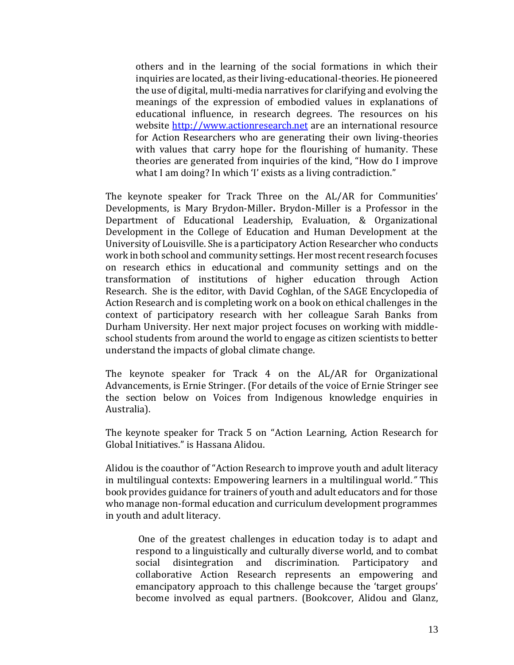others and in the learning of the social formations in which their inquiries are located, as their living-educational-theories. He pioneered the use of digital, multi-media narratives for clarifying and evolving the meanings of the expression of embodied values in explanations of educational influence, in research degrees. The resources on his website [http://www.actionresearch.net](http://www.actionresearch.net/) are an international resource for Action Researchers who are generating their own living-theories with values that carry hope for the flourishing of humanity. These theories are generated from inquiries of the kind, "How do I improve what I am doing? In which 'I' exists as a living contradiction."

The keynote speaker for Track Three on the AL/AR for Communities' Developments, is Mary Brydon-Miller**.** Brydon-Miller is a Professor in the Department of Educational Leadership, Evaluation, & Organizational Development in the College of Education and Human Development at the University of Louisville. She is a participatory Action Researcher who conducts work in both school and community settings. Her most recent research focuses on research ethics in educational and community settings and on the transformation of institutions of higher education through Action Research. She is the editor, with David Coghlan, of the SAGE Encyclopedia of Action Research and is completing work on a book on ethical challenges in the context of participatory research with her colleague Sarah Banks from Durham University. Her next major project focuses on working with middleschool students from around the world to engage as citizen scientists to better understand the impacts of global climate change.

The keynote speaker for Track 4 on the AL/AR for Organizational Advancements, is Ernie Stringer. (For details of the voice of Ernie Stringer see the section below on Voices from Indigenous knowledge enquiries in Australia).

The keynote speaker for Track 5 on "Action Learning, Action Research for Global Initiatives." is Hassana Alidou.

Alidou is the coauthor of "Action Research to improve youth and adult literacy in multilingual contexts: Empowering learners in a multilingual world*."* This book provides guidance for trainers of youth and adult educators and for those who manage non-formal education and curriculum development programmes in youth and adult literacy.

One of the greatest challenges in education today is to adapt and respond to a linguistically and culturally diverse world, and to combat social disintegration and discrimination. Participatory and collaborative Action Research represents an empowering and emancipatory approach to this challenge because the 'target groups' become involved as equal partners. (Bookcover, Alidou and Glanz,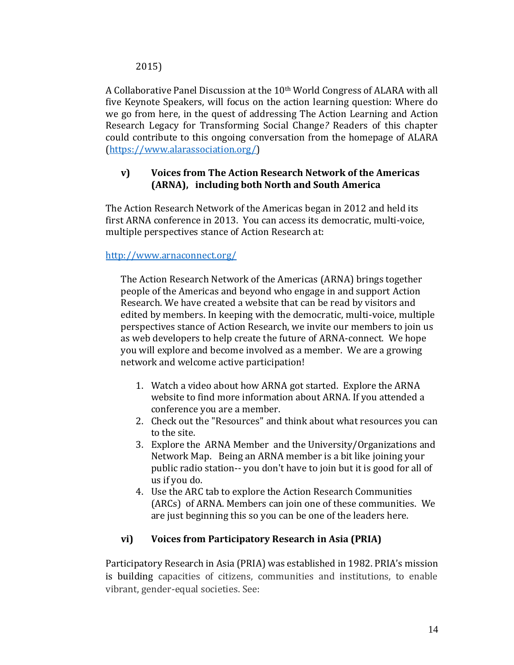## 2015)

A Collaborative Panel Discussion at the 10<sup>th</sup> World Congress of ALARA with all five Keynote Speakers, will focus on the action learning question: Where do we go from here, in the quest of addressing The Action Learning and Action Research Legacy for Transforming Social Change*?* Readers of this chapter could contribute to this ongoing conversation from the homepage of ALARA [\(https://www.alarassociation.org/\)](https://www.alarassociation.org/)

# **v) Voices from The Action Research Network of the Americas (ARNA), including both North and South America**

The Action Research Network of the Americas began in 2012 and held its first ARNA conference in 2013. You can access its democratic, multi-voice, multiple perspectives stance of Action Research at:

## <http://www.arnaconnect.org/>

The Action Research [Network of the Americas \(](http://arnawebstie.org/)ARNA) brings together people of the Americas and beyond who engage in and support Action Research. We have created a website that can be read by visitors and edited by members. In keeping with the democratic, multi-voice, multiple perspectives stance of Action Research, we invite our members to join us as web developers to help create the future of ARNA-connect. We hope you will explore and become involved as a member. We are a growing network and welcome active participation!

- 1. Watch a [video about how ARNA](http://www.arnaconnect.org/home/home1) got started. Explore the [ARNA](http://arnawebsite.org/)  [website](http://arnawebsite.org/) to find more information about ARNA. If you attended a conference you are a member.
- 2. Check out the ["Resources"](http://www.arnaconnect.org/resources) and think about what resources you can to the site.
- 3. Explore the [ARNA Member](http://www.arnaconnect.org/membership/members/mappingmembers) and the [University/Organizations and](http://www.arnaconnect.org/membership/mappingorgs)  [Network Map.](http://www.arnaconnect.org/membership/mappingorgs) Being an ARNA member is a bit like joining your public radio station-- you don't have to join but it is good for all of us if you do.
- 4. Use the ARC tab to explore the [Action Research](http://sites.google.com/site/groupsarna/collaborative-interest-groups) Communities [\(ARCs\)](http://sites.google.com/site/groupsarna/collaborative-interest-groups) of ARNA. Members can join one of these communities. We are just beginning this so you can be one of the leaders here.

# **vi) Voices from Participatory Research in Asia (PRIA)**

Participatory Research in Asia (PRIA) was established in 1982. PRIA's mission is building capacities of citizens, communities and institutions, to enable vibrant, gender-equal societies. See: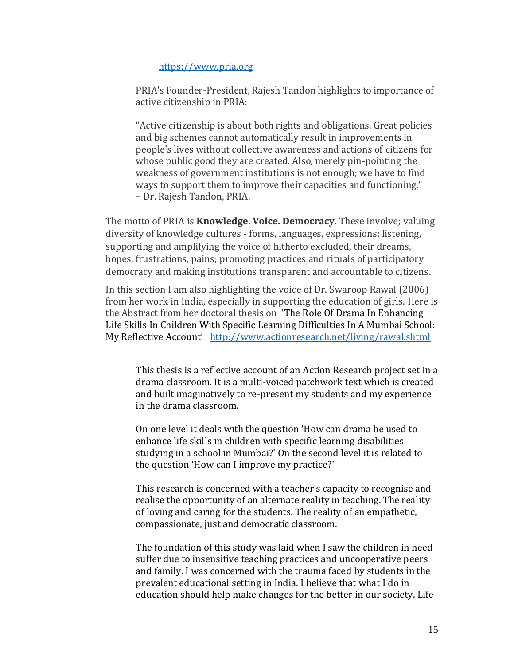### [https://www.pria.org](https://www.pria.org/)

PRIA's Founder-President, Rajesh Tandon highlights to importance of active citizenship in PRIA:

"Active citizenship is about both rights and obligations. Great policies and big schemes cannot automatically result in improvements in people's lives without collective awareness and actions of citizens for whose public good they are created. Also, merely pin-pointing the weakness of government institutions is not enough; we have to find ways to support them to improve their capacities and functioning." – Dr. Rajesh Tandon, PRIA.

The motto of PRIA is **Knowledge. Voice. Democracy.** These involve; valuing diversity of knowledge cultures - forms, languages, expressions; listening, supporting and amplifying the voice of hitherto excluded, their dreams, hopes, frustrations, pains; promoting practices and rituals of participatory democracy and making institutions transparent and accountable to citizens.

In this section I am also highlighting the voice of Dr. Swaroop Rawal (2006) from her work in India, especially in supporting the education of girls. Here is the Abstract from her doctoral thesis on 'The Role Of Drama In Enhancing Life Skills In Children With Specific Learning Difficulties In A Mumbai School: My Reflective Account' <http://www.actionresearch.net/living/rawal.shtml>

This thesis is a reflective account of an Action Research project set in a drama classroom. It is a multi-voiced patchwork text which is created and built imaginatively to re-present my students and my experience in the drama classroom.

On one level it deals with the question 'How can drama be used to enhance life skills in children with specific learning disabilities studying in a school in Mumbai?' On the second level it is related to the question 'How can I improve my practice?'

This research is concerned with a teacher's capacity to recognise and realise the opportunity of an alternate reality in teaching. The reality of loving and caring for the students. The reality of an empathetic, compassionate, just and democratic classroom.

The foundation of this study was laid when I saw the children in need suffer due to insensitive teaching practices and uncooperative peers and family. I was concerned with the trauma faced by students in the prevalent educational setting in India. I believe that what I do in education should help make changes for the better in our society. Life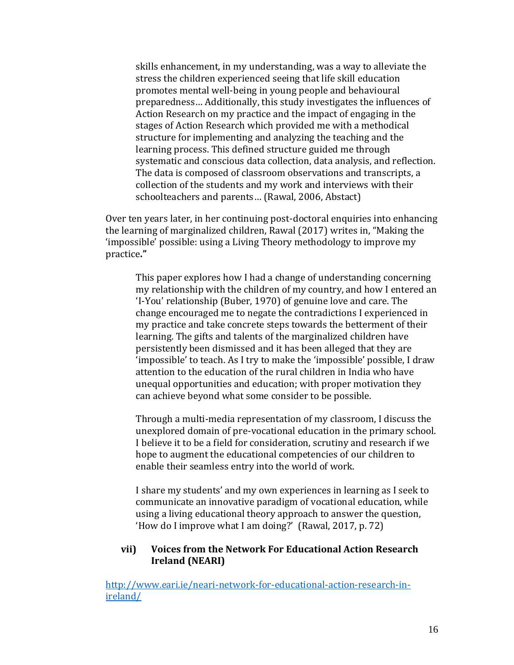skills enhancement, in my understanding, was a way to alleviate the stress the children experienced seeing that life skill education promotes mental well-being in young people and behavioural preparedness… Additionally, this study investigates the influences of Action Research on my practice and the impact of engaging in the stages of Action Research which provided me with a methodical structure for implementing and analyzing the teaching and the learning process. This defined structure guided me through systematic and conscious data collection, data analysis, and reflection. The data is composed of classroom observations and transcripts, a collection of the students and my work and interviews with their schoolteachers and parents… (Rawal, 2006, Abstact)

Over ten years later, in her continuing post-doctoral enquiries into enhancing the learning of marginalized children, Rawal (2017) writes in, "[Making](http://ejolts.net/node/299) the 'impossible' possible: using a Living Theory [methodology](http://ejolts.net/node/299) to improve my [practice](http://ejolts.net/node/299)**."**

This paper explores how I had a change of understanding concerning my relationship with the children of my country, and how I entered an 'I-You' relationship (Buber, 1970) of genuine love and care. The change encouraged me to negate the contradictions I experienced in my practice and take concrete steps towards the betterment of their learning. The gifts and talents of the marginalized children have persistently been dismissed and it has been alleged that they are 'impossible' to teach. As I try to make the 'impossible' possible, I draw attention to the education of the rural children in India who have unequal opportunities and education; with proper motivation they can achieve beyond what some consider to be possible.

Through a multi-media representation of my classroom, I discuss the unexplored domain of pre-vocational education in the primary school. I believe it to be a field for consideration, scrutiny and research if we hope to augment the educational competencies of our children to enable their seamless entry into the world of work.

I share my students' and my own experiences in learning as I seek to communicate an innovative paradigm of vocational education, while using a living educational theory approach to answer the question, 'How do I improve what I am doing?' (Rawal, 2017, p. 72)

### **vii) Voices from the Network For Educational Action Research Ireland (NEARI)**

[http://www.eari.ie/neari-network-for-educational-action-research-in](http://www.eari.ie/neari-network-for-educational-action-research-in-ireland/)[ireland/](http://www.eari.ie/neari-network-for-educational-action-research-in-ireland/)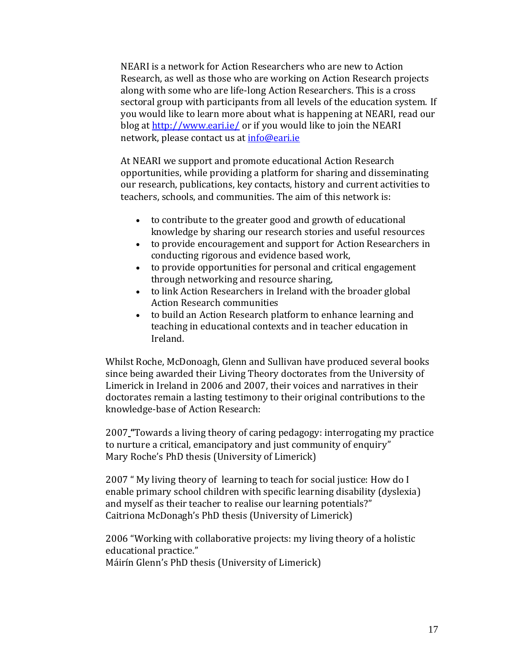NEARI is a network for Action Researchers who are new to Action Research, as well as those who are working on Action Research projects along with some who are life-long Action Researchers. This is a cross sectoral group with participants from all levels of the education system. If you would like to learn more about what is happening at NEARI, read our blog at<http://www.eari.ie/> or if you would like to join the NEARI network, please contact us at [info@eari.ie](mailto:info@eari.ie)

At NEARI we support and promote educational Action Research opportunities, while providing a platform for sharing and disseminating our research, publications, key contacts, history and current activities to teachers, schools, and communities. The aim of this network is:

- to contribute to the greater good and growth of educational knowledge by sharing our research stories and useful resources
- to provide encouragement and support for Action Researchers in conducting rigorous and evidence based work,
- to provide opportunities for personal and critical engagement through networking and resource sharing,
- to link Action Researchers in Ireland with the broader global Action Research communities
- to build an Action Research platform to enhance learning and teaching in educational contexts and in teacher education in Ireland.

Whilst Roche, McDonoagh, Glenn and Sullivan have produced several books since being awarded their Living Theory doctorates from the University of Limerick in Ireland in 2006 and 2007, their voices and narratives in their doctorates remain a lasting testimony to their original contributions to the knowledge-base of Action Research:

2007 **"**[Towards a living theory of caring pedagogy: interrogating my practice](http://www.eari.ie/research-and-publications/mary-roches-phd-thesis/)  [to nurture a critical, emancipatory and just community of enquiry](http://www.eari.ie/research-and-publications/mary-roches-phd-thesis/)" Mary Roche's PhD thesis (University of Limerick)

2007 " [My living theory of learning to teach](http://www.eari.ie/research-and-publications/caitriona-mcdonaghs-phd-thesis-2/) [for social justice:](http://www.eari.ie/research-and-publications/caitriona-mcdonaghs-phd-thesis-2/) [How do I](http://www.eari.ie/research-and-publications/caitriona-mcdonaghs-phd-thesis-2/)  [enable primary school children with specific learning disability \(dyslexia\)](http://www.eari.ie/research-and-publications/caitriona-mcdonaghs-phd-thesis-2/)  and myself as their teacher [to realise our learning potentials?](http://www.eari.ie/research-and-publications/caitriona-mcdonaghs-phd-thesis-2/)" Caitriona McDonagh's PhD thesis (University of Limerick)

2006 "Working with collaborative projects: my living theory of a holistic educational practice." Máirín Glenn's PhD thesis (University of Limerick)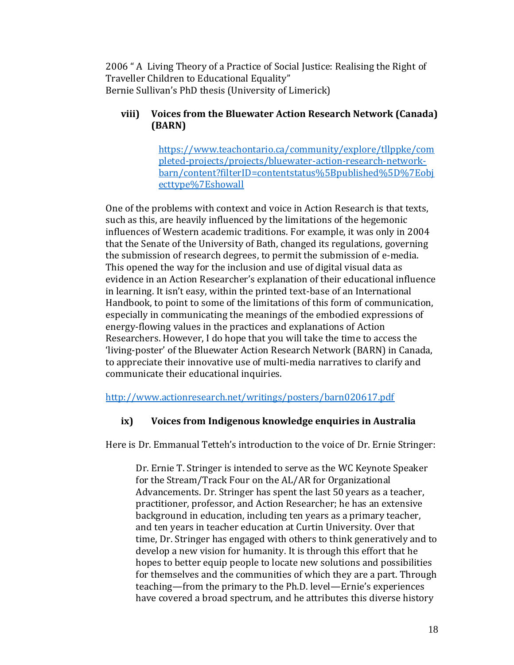2006 " [A Living Theory of a Practice of Social Justice: Realising the Right](http://www.eari.ie/research-and-publications/a-living-theory-of-a-practice-of-social-justice-realising-the-right-of-traveller-children-to-educational-equality-by-bernie-sullivan-for-the-award-of-phd-from-the-university-of-limerick/) of [Traveller Children to Educational Equality](http://www.eari.ie/research-and-publications/a-living-theory-of-a-practice-of-social-justice-realising-the-right-of-traveller-children-to-educational-equality-by-bernie-sullivan-for-the-award-of-phd-from-the-university-of-limerick/)" Bernie Sullivan's PhD thesis (University of Limerick)

## **viii) Voices from the Bluewater Action Research Network (Canada) (BARN)**

[https://www.teachontario.ca/community/explore/tllppke/com](https://www.teachontario.ca/community/explore/tllppke/completed-projects/projects/bluewater-action-research-network-barn/content?filterID=contentstatus%5Bpublished%5D%7Eobjecttype%7Eshowall) [pleted-projects/projects/bluewater-action-research-network](https://www.teachontario.ca/community/explore/tllppke/completed-projects/projects/bluewater-action-research-network-barn/content?filterID=contentstatus%5Bpublished%5D%7Eobjecttype%7Eshowall)[barn/content?filterID=contentstatus%5Bpublished%5D%7Eobj](https://www.teachontario.ca/community/explore/tllppke/completed-projects/projects/bluewater-action-research-network-barn/content?filterID=contentstatus%5Bpublished%5D%7Eobjecttype%7Eshowall) [ecttype%7Eshowall](https://www.teachontario.ca/community/explore/tllppke/completed-projects/projects/bluewater-action-research-network-barn/content?filterID=contentstatus%5Bpublished%5D%7Eobjecttype%7Eshowall)

One of the problems with context and voice in Action Research is that texts, such as this, are heavily influenced by the limitations of the hegemonic influences of Western academic traditions. For example, it was only in 2004 that the Senate of the University of Bath, changed its regulations, governing the submission of research degrees, to permit the submission of e-media. This opened the way for the inclusion and use of digital visual data as evidence in an Action Researcher's explanation of their educational influence in learning. It isn't easy, within the printed text-base of an International Handbook, to point to some of the limitations of this form of communication, especially in communicating the meanings of the embodied expressions of energy-flowing values in the practices and explanations of Action Researchers. However, I do hope that you will take the time to access the 'living-poster' of the Bluewater Action Research Network (BARN) in Canada, to appreciate their innovative use of multi-media narratives to clarify and communicate their educational inquiries.

<http://www.actionresearch.net/writings/posters/barn020617.pdf>

# **ix) Voices from Indigenous knowledge enquiries in Australia**

Here is Dr. Emmanual Tetteh's introduction to the voice of Dr. Ernie Stringer:

Dr. Ernie T. Stringer is intended to serve as the WC Keynote Speaker for the Stream/Track Four on the AL/AR for Organizational Advancements. Dr. Stringer has spent the last 50 years as a teacher, practitioner, professor, and Action Researcher; he has an extensive background in education, including ten years as a primary teacher, and ten years in teacher education at Curtin University. Over that time, Dr. Stringer has engaged with others to think generatively and to develop a new vision for humanity. It is through this effort that he hopes to better equip people to locate new solutions and possibilities for themselves and the communities of which they are a part. Through teaching—from the primary to the Ph.D. level—Ernie's experiences have covered a broad spectrum, and he attributes this diverse history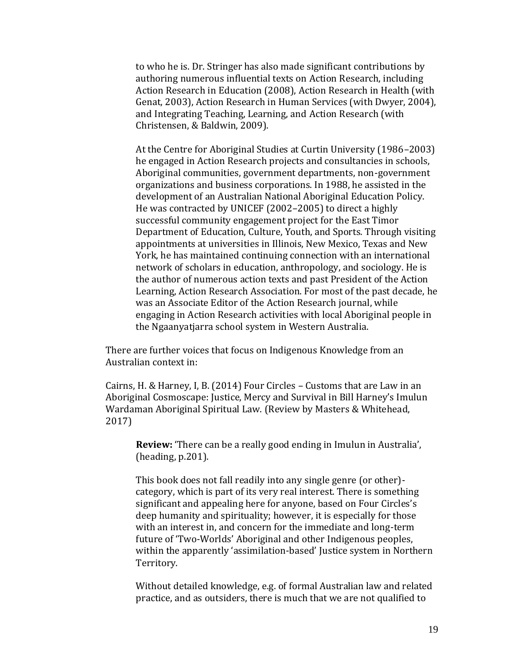to who he is. Dr. Stringer has also made significant contributions by authoring numerous influential texts on Action Research, including Action Research in Education (2008), Action Research in Health (with Genat, 2003), Action Research in Human Services (with Dwyer, 2004), and Integrating Teaching, Learning, and Action Research (with Christensen, & Baldwin, 2009).

At the Centre for Aboriginal Studies at Curtin University (1986–2003) he engaged in Action Research projects and consultancies in schools, Aboriginal communities, government departments, non-government organizations and business corporations. In 1988, he assisted in the development of an Australian National Aboriginal Education Policy. He was contracted by UNICEF (2002–2005) to direct a highly successful community engagement project for the East Timor Department of Education, Culture, Youth, and Sports. Through visiting appointments at universities in Illinois, New Mexico, Texas and New York, he has maintained continuing connection with an international network of scholars in education, anthropology, and sociology. He is the author of numerous action texts and past President of the Action Learning, Action Research Association. For most of the past decade, he was an Associate Editor of the Action Research journal, while engaging in Action Research activities with local Aboriginal people in the Ngaanyatjarra school system in Western Australia.

There are further voices that focus on Indigenous Knowledge from an Australian context in:

Cairns, H. & Harney, I, B. (2014) Four Circles – Customs that are Law in an Aboriginal Cosmoscape: Justice, Mercy and Survival in Bill Harney's Imulun Wardaman Aboriginal Spiritual Law. (Review by Masters & Whitehead, 2017)

**Review:** 'There can be a really good ending in Imulun in Australia', (heading, p.201).

This book does not fall readily into any single genre (or other) category, which is part of its very real interest. There is something significant and appealing here for anyone, based on Four Circles's deep humanity and spirituality; however, it is especially for those with an interest in, and concern for the immediate and long-term future of 'Two-Worlds' Aboriginal and other Indigenous peoples, within the apparently 'assimilation-based' Justice system in Northern Territory.

Without detailed knowledge, e.g. of formal Australian law and related practice, and as outsiders, there is much that we are not qualified to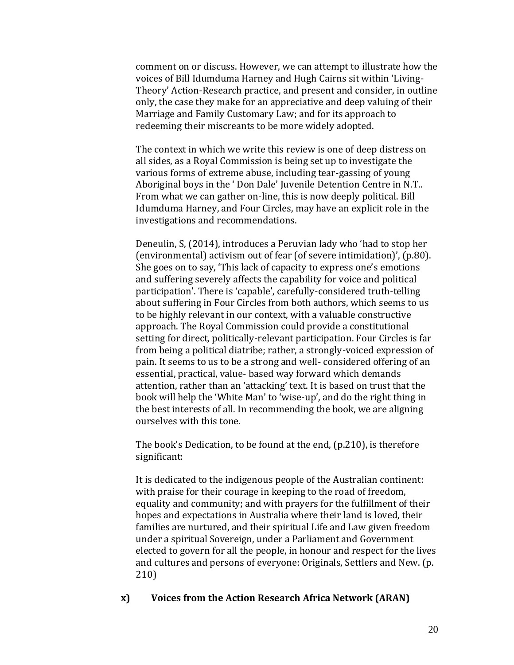comment on or discuss. However, we can attempt to illustrate how the voices of Bill Idumduma Harney and Hugh Cairns sit within 'Living-Theory' Action-Research practice, and present and consider, in outline only, the case they make for an appreciative and deep valuing of their Marriage and Family Customary Law; and for its approach to redeeming their miscreants to be more widely adopted.

The context in which we write this review is one of deep distress on all sides, as a Royal Commission is being set up to investigate the various forms of extreme abuse, including tear-gassing of young Aboriginal boys in the ' Don Dale' Juvenile Detention Centre in N.T.. From what we can gather on-line, this is now deeply political. Bill Idumduma Harney, and Four Circles, may have an explicit role in the investigations and recommendations.

Deneulin, S, (2014), introduces a Peruvian lady who 'had to stop her (environmental) activism out of fear (of severe intimidation)', (p.80). She goes on to say, 'This lack of capacity to express one's emotions and suffering severely affects the capability for voice and political participation'. There is 'capable', carefully-considered truth-telling about suffering in Four Circles from both authors, which seems to us to be highly relevant in our context, with a valuable constructive approach. The Royal Commission could provide a constitutional setting for direct, politically-relevant participation. Four Circles is far from being a political diatribe; rather, a strongly-voiced expression of pain. It seems to us to be a strong and well- considered offering of an essential, practical, value- based way forward which demands attention, rather than an 'attacking' text. It is based on trust that the book will help the 'White Man' to 'wise-up', and do the right thing in the best interests of all. In recommending the book, we are aligning ourselves with this tone.

The book's Dedication, to be found at the end, (p.210), is therefore significant:

It is dedicated to the indigenous people of the Australian continent: with praise for their courage in keeping to the road of freedom, equality and community; and with prayers for the fulfillment of their hopes and expectations in Australia where their land is loved, their families are nurtured, and their spiritual Life and Law given freedom under a spiritual Sovereign, under a Parliament and Government elected to govern for all the people, in honour and respect for the lives and cultures and persons of everyone: Originals, Settlers and New. (p. 210)

#### **x) Voices from the Action Research Africa Network (ARAN)**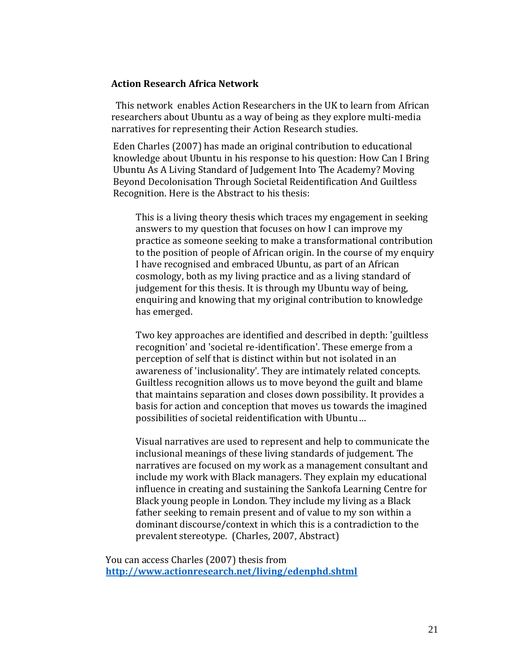#### **Action Research Africa Network**

 This network enables Action Researchers in the UK to learn from African researchers about Ubuntu as a way of being as they explore multi-media narratives for representing their Action Research studies.

Eden Charles (2007) has made an original contribution to educational knowledge about Ubuntu in his response to his question: How Can I Bring Ubuntu As A Living Standard of Judgement Into The Academy? Moving Beyond Decolonisation Through Societal Reidentification And Guiltless Recognition. Here is the Abstract to his thesis:

This is a living theory thesis which traces my engagement in seeking answers to my question that focuses on how I can improve my practice as someone seeking to make a transformational contribution to the position of people of African origin. In the course of my enquiry I have recognised and embraced Ubuntu, as part of an African cosmology, both as my living practice and as a living standard of judgement for this thesis. It is through my Ubuntu way of being, enquiring and knowing that my original contribution to knowledge has emerged.

Two key approaches are identified and described in depth: 'guiltless recognition' and 'societal re-identification'. These emerge from a perception of self that is distinct within but not isolated in an awareness of 'inclusionality'. They are intimately related concepts. Guiltless recognition allows us to move beyond the guilt and blame that maintains separation and closes down possibility. It provides a basis for action and conception that moves us towards the imagined possibilities of societal reidentification with Ubuntu…

Visual narratives are used to represent and help to communicate the inclusional meanings of these living standards of judgement. The narratives are focused on my work as a management consultant and include my work with Black managers. They explain my educational influence in creating and sustaining the Sankofa Learning Centre for Black young people in London. They include my living as a Black father seeking to remain present and of value to my son within a dominant discourse/context in which this is a contradiction to the prevalent stereotype. (Charles, 2007, Abstract)

You can access Charles (2007) thesis from **<http://www.actionresearch.net/living/edenphd.shtml>**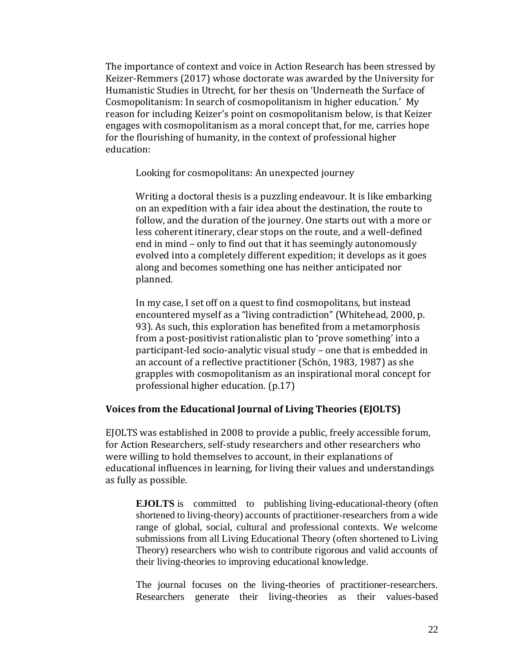The importance of context and voice in Action Research has been stressed by Keizer-Remmers (2017) whose doctorate was awarded by the University for Humanistic Studies in Utrecht, for her thesis on 'Underneath the Surface of Cosmopolitanism: In search of cosmopolitanism in higher education.' My reason for including Keizer's point on cosmopolitanism below, is that Keizer engages with cosmopolitanism as a moral concept that, for me, carries hope for the flourishing of humanity, in the context of professional higher education:

Looking for cosmopolitans: An unexpected journey

Writing a doctoral thesis is a puzzling endeavour. It is like embarking on an expedition with a fair idea about the destination, the route to follow, and the duration of the journey. One starts out with a more or less coherent itinerary, clear stops on the route, and a well-defined end in mind – only to find out that it has seemingly autonomously evolved into a completely different expedition; it develops as it goes along and becomes something one has neither anticipated nor planned.

In my case, I set off on a quest to find cosmopolitans, but instead encountered myself as a "living contradiction" (Whitehead, 2000, p. 93). As such, this exploration has benefited from a metamorphosis from a post-positivist rationalistic plan to 'prove something' into a participant-led socio-analytic visual study – one that is embedded in an account of a reflective practitioner (Schön, 1983, 1987) as she grapples with cosmopolitanism as an inspirational moral concept for professional higher education. (p.17)

### **Voices from the Educational Journal of Living Theories (EJOLTS)**

EJOLTS was established in 2008 to provide a public, freely accessible forum, for Action Researchers, self-study researchers and other researchers who were willing to hold themselves to account, in their explanations of educational influences in learning, for living their values and understandings as fully as possible.

**EJOLTS** is committed to publishing [living-educational-theory](http://ejolts.net/node/220) (often shortened to living-theory) accounts of practitioner-researchers from a wide range of global, social, cultural and professional contexts. We welcome submissions from all Living Educational Theory (often shortened to Living Theory) researchers who wish to contribute rigorous and valid accounts of their [living-theories](http://ejolts.net/node/220) to improving educational knowledge.

The journal focuses on the living-theories of practitioner-researchers. Researchers generate their living-theories as their values-based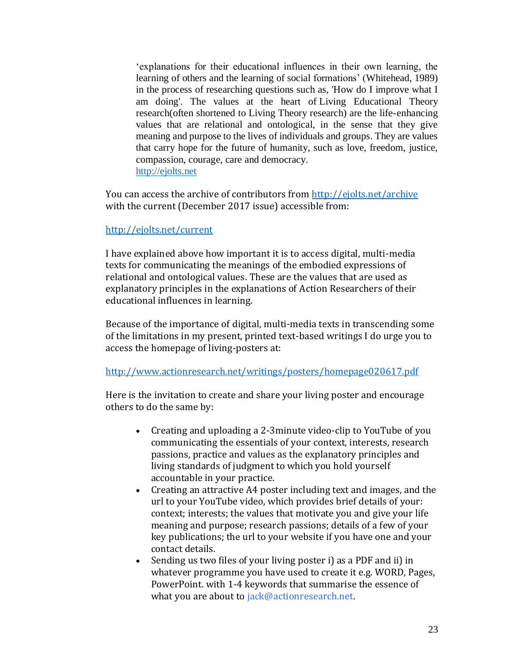'explanations for their educational influences in their own learning, the learning of others and the learning of social formations' [\(Whitehead,](http://actionresearch.net/writings/livtheory.html) 1989) in the process of researching questions such as, 'How do I improve what I am doing'. The values at the heart of Living [Educational](http://ejolts.net/node/220) Theory [research\(](http://ejolts.net/node/220)often shortened to Living Theory research) are the life-enhancing values that are relational and ontological, in the sense that they give meaning and purpose to the lives of individuals and groups. They are values that carry hope for the future of humanity, such as love, freedom, justice, compassion, courage, care and democracy. [http://ejolts.net](http://ejolts.net/)

You can access the archive of contributors from http://ejolts.net/archive with the current (December 2017 issue) accessible from:

### <http://ejolts.net/current>

I have explained above how important it is to access digital, multi-media texts for communicating the meanings of the embodied expressions of relational and ontological values. These are the values that are used as explanatory principles in the explanations of Action Researchers of their educational influences in learning.

Because of the importance of digital, multi-media texts in transcending some of the limitations in my present, printed text-based writings I do urge you to access the homepage of living-posters at:

### <http://www.actionresearch.net/writings/posters/homepage020617.pdf>

Here is the invitation to create and share your living poster and encourage others to do the same by:

- Creating and uploading a 2-3minute video-clip to YouTube of you communicating the essentials of your context, interests, research passions, practice and values as the explanatory principles and living standards of judgment to which you hold yourself accountable in your practice.
- Creating an attractive A4 poster including text and images, and the url to your YouTube video, which provides brief details of your: context; interests; the values that motivate you and give your life meaning and purpose; research passions; details of a few of your key publications; the url to your website if you have one and your contact details.
- Sending us two files of your living poster i) as a PDF and ii) in whatever programme you have used to create it e.g. WORD, Pages, PowerPoint. with 1-4 keywords that summarise the essence of what you are about to jack@actionresearch.net.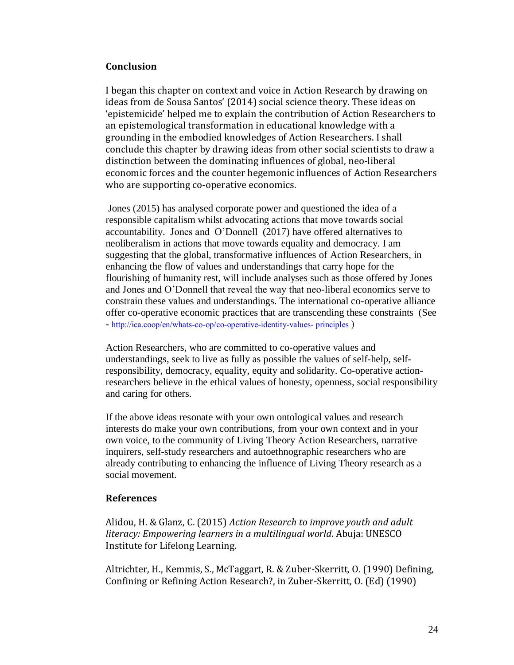### **Conclusion**

I began this chapter on context and voice in Action Research by drawing on ideas from de Sousa Santos' (2014) social science theory. These ideas on 'epistemicide' helped me to explain the contribution of Action Researchers to an epistemological transformation in educational knowledge with a grounding in the embodied knowledges of Action Researchers. I shall conclude this chapter by drawing ideas from other social scientists to draw a distinction between the dominating influences of global, neo-liberal economic forces and the counter hegemonic influences of Action Researchers who are supporting co-operative economics.

Jones (2015) has analysed corporate power and questioned the idea of a responsible capitalism whilst advocating actions that move towards social accountability. Jones and O'Donnell (2017) have offered alternatives to neoliberalism in actions that move towards equality and democracy. I am suggesting that the global, transformative influences of Action Researchers, in enhancing the flow of values and understandings that carry hope for the flourishing of humanity rest, will include analyses such as those offered by Jones and Jones and O'Donnell that reveal the way that neo-liberal economics serve to constrain these values and understandings. The international co-operative alliance offer co-operative economic practices that are transcending these constraints (See - http://ica.coop/en/whats-co-op/co-operative-identity-values- principles )

Action Researchers, who are committed to co-operative values and understandings, seek to live as fully as possible the values of self-help, selfresponsibility, democracy, equality, equity and solidarity. Co-operative actionresearchers believe in the ethical values of honesty, openness, social responsibility and caring for others.

If the above ideas resonate with your own ontological values and research interests do make your own contributions, from your own context and in your own voice, to the community of Living Theory Action Researchers, narrative inquirers, self-study researchers and autoethnographic researchers who are already contributing to enhancing the influence of Living Theory research as a social movement.

### **References**

Alidou, H. & Glanz, C. (2015) *Action Research to improve youth and adult literacy: Empowering learners in a multilingual world*. Abuja: UNESCO Institute for Lifelong Learning.

Altrichter, H., Kemmis, S., McTaggart, R. & Zuber-Skerritt, O. (1990) Defining, Confining or Refining Action Research?, in Zuber-Skerritt, O. (Ed) (1990)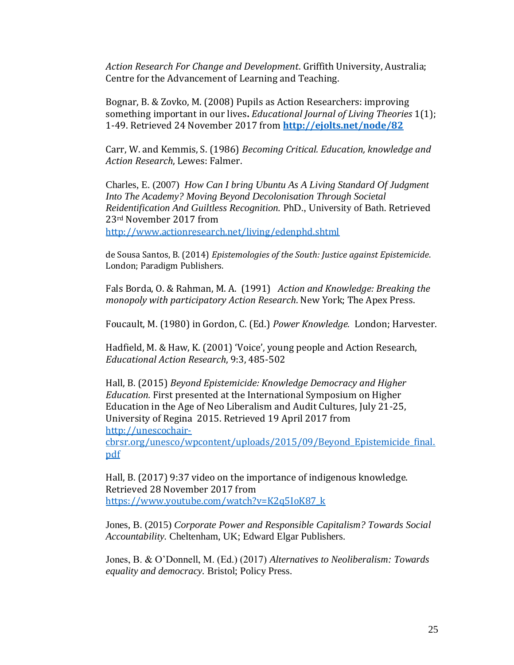*Action Research For Change and Development*. Griffith University, Australia; Centre for the Advancement of Learning and Teaching.

Bognar, B. & Zovko, M. (2008) Pupils as Action [Researchers:](http://ejolts.net/node/82) improving [something](http://ejolts.net/node/82) important in our lives**.** *Educational Journal of Living Theories* 1(1); 1-49. Retrieved 24 November 2017 from **<http://ejolts.net/node/82>**

Carr, W. and Kemmis, S. (1986) *Becoming Critical. Education, knowledge and Action Research*, Lewes: Falmer.

Charles, E. (2007) *How Can I bring Ubuntu As A Living Standard Of Judgment Into The Academy? Moving Beyond Decolonisation Through Societal Reidentification And Guiltless Recognition.* PhD., University of Bath. Retrieved 23rd November 2017 from <http://www.actionresearch.net/living/edenphd.shtml>

de Sousa Santos, B. (2014) *Epistemologies of the South: Justice against Epistemicide*. London; Paradigm Publishers.

Fals Borda, O. & Rahman, M. A. (1991) *Action and Knowledge: Breaking the monopoly with participatory Action Research*. New York; The Apex Press.

Foucault, M. (1980) in Gordon, C. (Ed.) *Power Knowledge.* London; Harvester.

Hadfield, M. & Haw, K. (2001) 'Voice', young people and Action Research, *Educational Action Research*, 9:3, 485-502

Hall, B. (2015) *Beyond Epistemicide: Knowledge Democracy and Higher Education.* First presented at the International Symposium on Higher Education in the Age of Neo Liberalism and Audit Cultures, July 21-25, University of Regina 2015. Retrieved 19 April 2017 from [http://unescochair-](http://unescochair-cbrsr.org/unesco/wp-content/uploads/2015/09/Beyond_Epistemicide_final.pdf)

[cbrsr.org/unesco/wpcontent/uploads/2015/09/Beyond\\_Epistemicide\\_final.](http://unescochair-cbrsr.org/unesco/wp-content/uploads/2015/09/Beyond_Epistemicide_final.pdf) [pdf](http://unescochair-cbrsr.org/unesco/wp-content/uploads/2015/09/Beyond_Epistemicide_final.pdf)

Hall, B. (2017) 9:37 video on the importance of indigenous knowledge. Retrieved 28 November 2017 from [https://www.youtube.com/watch?v=K2q5IoK87\\_k](https://www.youtube.com/watch?v=K2q5IoK87_k)

Jones, B. (2015) *Corporate Power and Responsible Capitalism? Towards Social Accountability.* Cheltenham, UK; Edward Elgar Publishers.

Jones, B. & O'Donnell, M. (Ed.) (2017) *Alternatives to Neoliberalism: Towards equality and democracy.* Bristol; Policy Press.